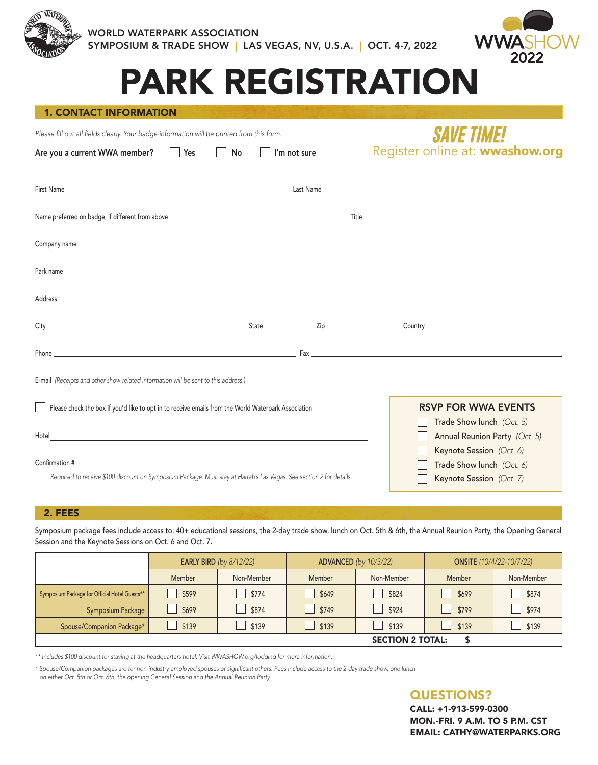



# PARK REGISTRATION

#### 1. CONTACT INFORMATION

Please fill out all fields clearly. Your badge information will be printed from this form.

Are you a current WWA member?  $\Box$  Yes  $\Box$  No  $\Box$  I'm not sure

## *SAVE TIME!* Register online at: wwashow.org

| Park name experience and the contract of the contract of the contract of the contract of the contract of the contract of the contract of the contract of the contract of the contract of the contract of the contract of the c                                                                  |  |                                                                                        |
|-------------------------------------------------------------------------------------------------------------------------------------------------------------------------------------------------------------------------------------------------------------------------------------------------|--|----------------------------------------------------------------------------------------|
|                                                                                                                                                                                                                                                                                                 |  |                                                                                        |
|                                                                                                                                                                                                                                                                                                 |  |                                                                                        |
| Phone <b>Figure 2</b> Phone <b>Figure 2</b> Phone <b>Figure 2</b> Phone <b>Figure 2</b> Phone <b>Figure 2</b> Phone <b>Figure 2</b> Phone <b>Figure 2</b> Phone <b>Figure 2</b> Phone <b>Figure 2</b> Phone <b>Figure 2</b> Phone <b>Figure 2</b> Phone <b>Figure 2</b> Phone <b>Figure 2</b> P |  |                                                                                        |
|                                                                                                                                                                                                                                                                                                 |  |                                                                                        |
| Please check the box if you'd like to opt in to receive emails from the World Waterpark Association                                                                                                                                                                                             |  | <b>RSVP FOR WWA EVENTS</b>                                                             |
| Hotel<br><u> 1989 - Johann Stoff, deutscher Stoff, der Stoff, der Stoff, der Stoff, der Stoff, der Stoff, der Stoff, der S</u>                                                                                                                                                                  |  | Trade Show lunch (Oct. 5)<br>Annual Reunion Party (Oct. 5)<br>Keynote Session (Oct. 6) |
|                                                                                                                                                                                                                                                                                                 |  | Trade Show lunch (Oct. 6)                                                              |
| Required to receive \$100 discount on Symposium Package. Must stay at Harrah's Las Vegas. See section 2 for details.                                                                                                                                                                            |  | Keynote Session (Oct. 7)                                                               |

#### 2. FEES

Symposium package fees include access to: 40+ educational sessions, the 2-day trade show, lunch on Oct. 5th & 6th, the Annual Reunion Party, the Opening General Session and the Keynote Sessions on Oct. 6 and Oct. 7.

|                                               | <b>EARLY BIRD</b> (by 8/12/22) |            |               | <b>ADVANCED</b> (by 10/3/22) | <b>ONSITE</b> (10/4/22-10/7/22) |            |  |  |  |  |
|-----------------------------------------------|--------------------------------|------------|---------------|------------------------------|---------------------------------|------------|--|--|--|--|
|                                               | Member                         | Non-Member | <b>Member</b> | Non-Member                   | <b>Member</b>                   | Non-Member |  |  |  |  |
| Symposium Package for Official Hotel Guests** | \$599                          | \$774      | \$649         | \$824                        | \$699                           | \$874      |  |  |  |  |
| Symposium Package                             | \$699                          | \$874      | \$749         | \$924                        | \$799                           | \$974      |  |  |  |  |
| Spouse/Companion Package*                     | \$139                          | \$139      | \$139         | \$139                        | \$139                           | \$139      |  |  |  |  |
| <b>SECTION 2 TOTAL:</b>                       |                                |            |               |                              |                                 |            |  |  |  |  |

\*\* Includes \$100 discount for staying at the headquarters hotel. Visit WWASHOW.org/lodging for more information.

\* Spouse/Companion packages are for non-industry employed spouses or significant others. Fees include access to the 2-day trade show, one lunch on either Oct. 5th or Oct. 6th, the opening General Session and the Annual Reunion Party.

### QUESTIONS?

CALL: +1-913-599-0300 MON.-FRI. 9 A.M. TO 5 P.M. CST EMAIL: CATHY@WATERPARKS.ORG